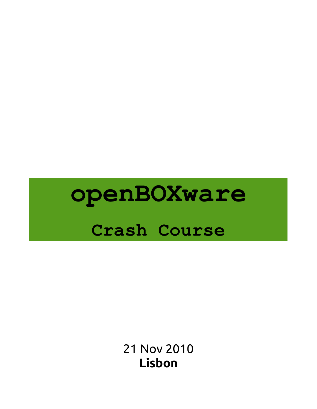# **openBOXware Crash Course**

21 Nov 2010 **Lisbon**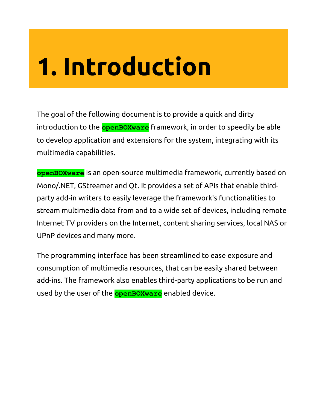# **1. Introduction**

The goal of the following document is to provide a quick and dirty introduction to the **openBOXware** framework, in order to speedily be able to develop application and extensions for the system, integrating with its multimedia capabilities.

**openBOXware** is an open-source multimedia framework, currently based on Mono/.NET, GStreamer and Qt. It provides a set of APIs that enable thirdparty add-in writers to easily leverage the framework's functionalities to stream multimedia data from and to a wide set of devices, including remote Internet TV providers on the Internet, content sharing services, local NAS or UPnP devices and many more.

The programming interface has been streamlined to ease exposure and consumption of multimedia resources, that can be easily shared between add-ins. The framework also enables third-party applications to be run and used by the user of the **openBOXware** enabled device.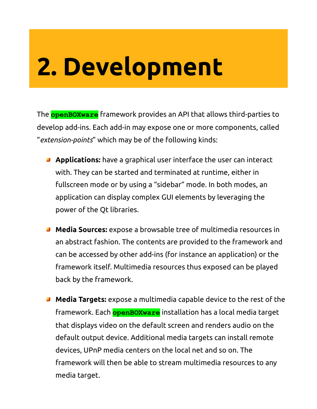# **2. Development**

The **openBOXware** framework provides an API that allows third-parties to develop add-ins. Each add-in may expose one or more components, called "*extension-points*" which may be of the following kinds:

- **Applications:** have a graphical user interface the user can interact with. They can be started and terminated at runtime, either in fullscreen mode or by using a "sidebar" mode. In both modes, an application can display complex GUI elements by leveraging the power of the Qt libraries.
- **Media Sources:** expose a browsable tree of multimedia resources in an abstract fashion. The contents are provided to the framework and can be accessed by other add-ins (for instance an application) or the framework itself. Multimedia resources thus exposed can be played back by the framework.
- **Media Targets:** expose a multimedia capable device to the rest of the framework. Each **openBOXware** installation has a local media target that displays video on the default screen and renders audio on the default output device. Additional media targets can install remote devices, UPnP media centers on the local net and so on. The framework will then be able to stream multimedia resources to any media target.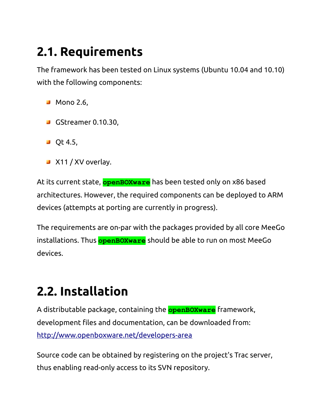#### **2.1. Requirements**

The framework has been tested on Linux systems (Ubuntu 10.04 and 10.10) with the following components:

- **Mono 2.6,**
- GStreamer 0.10.30,
- $\blacksquare$  Qt 4.5,
- **X11 / XV overlay.**

At its current state, **openBOXware** has been tested only on x86 based architectures. However, the required components can be deployed to ARM devices (attempts at porting are currently in progress).

The requirements are on-par with the packages provided by all core MeeGo installations. Thus **openBOXware** should be able to run on most MeeGo devices.

#### **2.2. Installation**

A distributable package, containing the **openBOXware** framework, development files and documentation, can be downloaded from: <http://www.openboxware.net/developers-area>

Source code can be obtained by registering on the project's Trac server, thus enabling read-only access to its SVN repository.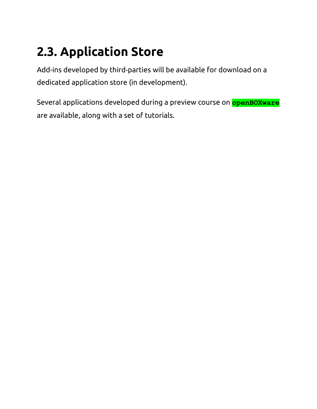#### **2.3. Application Store**

Add-ins developed by third-parties will be available for download on a dedicated application store (in development).

Several applications developed during a preview course on **openBOXware** are available, along with a set of tutorials.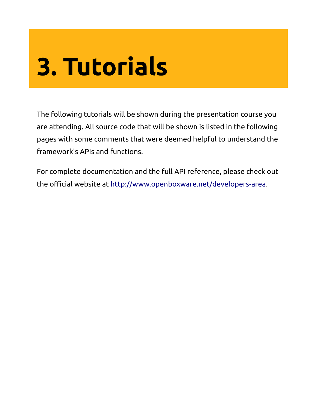# **3. Tutorials**

The following tutorials will be shown during the presentation course you are attending. All source code that will be shown is listed in the following pages with some comments that were deemed helpful to understand the framework's APIs and functions.

For complete documentation and the full API reference, please check out the official website at [http://www.openboxware.net/developers-area.](http://www.openboxware.net/developers-area)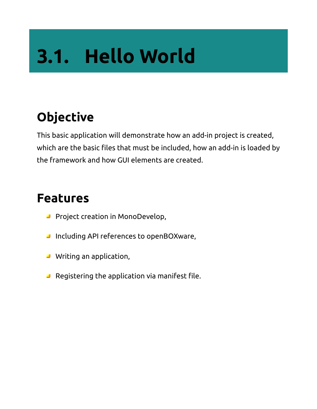# **3.1. Hello World**

#### **Objective**

This basic application will demonstrate how an add-in project is created, which are the basic files that must be included, how an add-in is loaded by the framework and how GUI elements are created.

- **Project creation in MonoDevelop,**
- **Including API references to openBOXware,**
- **Writing an application,**
- **B** Registering the application via manifest file.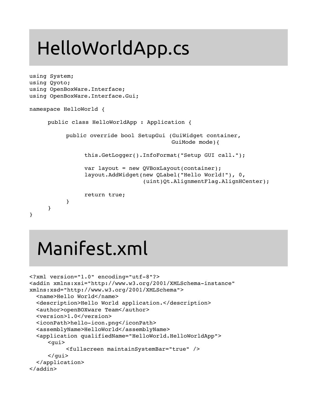### HelloWorldApp.cs

```
using System;
using Qyoto;
using OpenBoxWare.Interface;
using OpenBoxWare.Interface.Gui;
namespace HelloWorld {
     public class HelloWorldApp : Application {
           public override bool SetupGui (GuiWidget container,
                                                GuiMode mode){
                 this.GetLogger().InfoFormat("Setup GUI call.");
                 var layout = new QVBoxLayout(container);
                 layout.AddWidget(new QLabel("Hello World!"), 0,
                                                    (uint)Qt.AlignmentFlag.AlignHCenter);
                 return true;
           }
     }
}
```
### Manifest.xml

```
<?xml version="1.0" encoding="utf-8"?>
<addin xmlns:xsi="http://www.w3.org/2001/XMLSchema-instance"
xmlns:xsd="http://www.w3.org/2001/XMLSchema">
    <name>Hello World</name>
    <description>Hello World application.</description>
    <author>openBOXware Team</author>
    <version>1.0</version>
  <iconPath>hello-icon.png</iconPath>
    <assemblyName>HelloWorld</assemblyName>
    <application qualifiedName="HelloWorld.HelloWorldApp">
     <qui>   <fullscreen maintainSystemBar="true" />
     \langle qui>  </application>
</addin>
```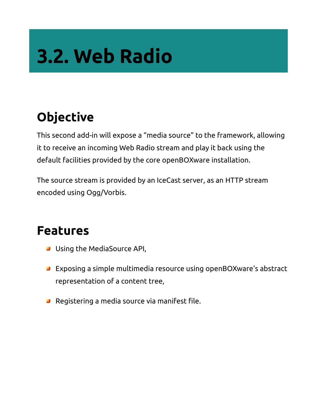## **3.2. Web Radio**

#### **Objective**

This second add-in will expose a "media source" to the framework, allowing it to receive an incoming Web Radio stream and play it back using the default facilities provided by the core openBOXware installation.

The source stream is provided by an IceCast server, as an HTTP stream encoded using Ogg/Vorbis.

- **Using the MediaSource API,**
- Exposing a simple multimedia resource using openBOXware's abstract representation of a content tree,
- **B** Registering a media source via manifest file.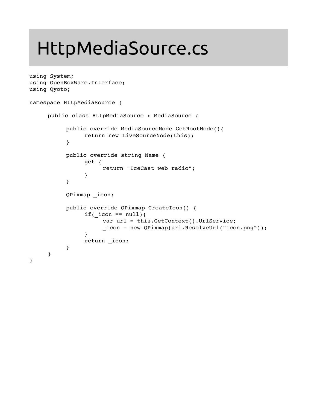### HttpMediaSource.cs

```
using System;
using OpenBoxWare.Interface;
using Qyoto;
namespace HttpMediaSource {
     public class HttpMediaSource : MediaSource {
          public override MediaSourceNode GetRootNode(){
                return new LiveSourceNode(this);
           }
          public override string Name {
                get {
                     return "IceCast web radio";
                }
          }
          QPixmap _icon;
          public override QPixmap CreateIcon() {
                if( icon == null){
                     var url = this.GetContext().UrlService;
                      _icon = new QPixmap(url.ResolveUrl("icon.png"));
                }
                return _icon;
           }
     }
}
```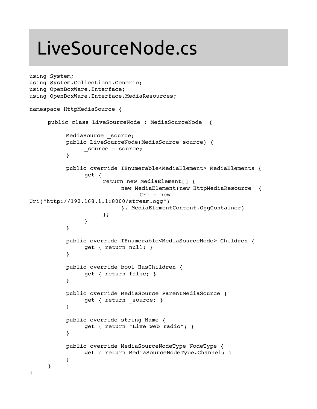### LiveSourceNode.cs

```
using System;
using System.Collections.Generic;
using OpenBoxWare.Interface;
using OpenBoxWare.Interface.MediaResources;
namespace HttpMediaSource {
     public class LiveSourceNode : MediaSourceNode  {
          MediaSource source;
           public LiveSourceNode(MediaSource source) {
                _source = source;
           }
          public override IEnumerable<MediaElement> MediaElements {
                get {
                      return new MediaElement[] {
                           new MediaElement(new HttpMediaResource  {
                                Uri = new
Uri("http://192.168.1.1:8000/stream.ogg")
                           }, MediaElementContent.OggContainer)
                      };
                }
           }
           public override IEnumerable<MediaSourceNode> Children {
                get { return null; }
           }
          public override bool HasChildren {
                get { return false; }
           }
          public override MediaSource ParentMediaSource {
                get { return source; }
           }
          public override string Name {
                get { return "Live web radio"; }
           }
           public override MediaSourceNodeType NodeType {
                get { return MediaSourceNodeType.Channel; }
           }
     }
}
```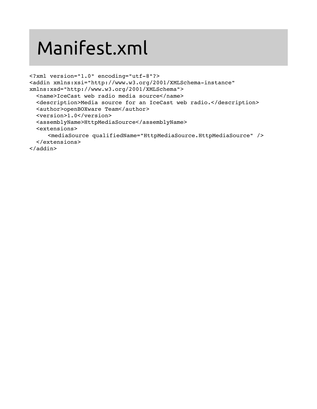### Manifest.xml

```
<?xml version="1.0" encoding="utf-8"?>
<addin xmlns:xsi="http://www.w3.org/2001/XMLSchema-instance"
xmlns:xsd="http://www.w3.org/2001/XMLSchema">
    <name>IceCast web radio media source</name>
    <description>Media source for an IceCast web radio.</description>
    <author>openBOXware Team</author>
    <version>1.0</version>
    <assemblyName>HttpMediaSource</assemblyName>
    <extensions>
        <mediaSource qualifiedName="HttpMediaSource.HttpMediaSource" />
    </extensions>
</addin>
```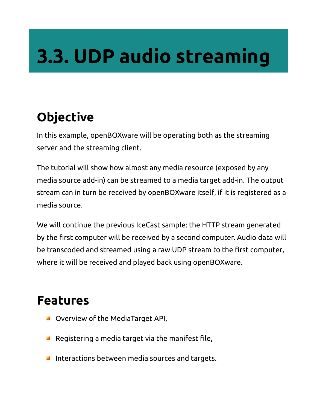## **3.3. UDP audio streaming**

#### **Objective**

In this example, openBOXware will be operating both as the streaming server and the streaming client.

The tutorial will show how almost any media resource (exposed by any media source add-in) can be streamed to a media target add-in. The output stream can in turn be received by openBOXware itself, if it is registered as a media source.

We will continue the previous IceCast sample: the HTTP stream generated by the first computer will be received by a second computer. Audio data will be transcoded and streamed using a raw UDP stream to the first computer, where it will be received and played back using openBOXware.

- **D** Overview of the MediaTarget API,
- $\blacksquare$  Registering a media target via the manifest file,
- **I** Interactions between media sources and targets.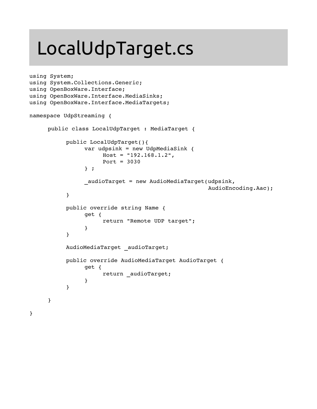### LocalUdpTarget.cs

```
using System;
using System.Collections.Generic;
using OpenBoxWare.Interface;
using OpenBoxWare.Interface.MediaSinks;
using OpenBoxWare.Interface.MediaTargets;
namespace UdpStreaming {
     public class LocalUdpTarget : MediaTarget {
          public LocalUdpTarget(){
                var udpsink = new UdpMediaSink {
                     Host = "192.168.1.2",Port = 3030} ;
                audioTarget = new AudioMediarget(udpsink,    AudioEncoding.Aac);
           }
          public override string Name {
                get {
                     return "Remote UDP target";
                }
           }
          AudioMediaTarget audioTarget;
          public override AudioMediaTarget AudioTarget {
                get {
                     return audioTarget;
                }
           }
     }
}
```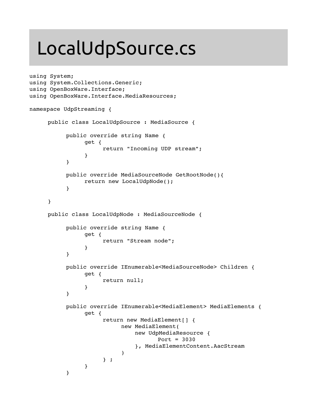### LocalUdpSource.cs

```
using System;
using System.Collections.Generic;
using OpenBoxWare.Interface;
using OpenBoxWare.Interface.MediaResources;
namespace UdpStreaming {
     public class LocalUdpSource : MediaSource {
           public override string Name {
                get {
                      return "Incoming UDP stream";
                }
           }
           public override MediaSourceNode GetRootNode(){
                return new LocalUdpNode();
           }
     }
     public class LocalUdpNode : MediaSourceNode {
           public override string Name {
                get {
                      return "Stream node";
                }
           }
           public override IEnumerable<MediaSourceNode> Children {
                get {
                      return null;
                }
           }
           public override IEnumerable<MediaElement> MediaElements {
                get {
                      return new MediaElement[] {
                           new MediaElement(
                                    new UdpMediaResource {
                                       Port = 3030
                                    }, MediaElementContent.AacStream
                            )
                      } ;
                }
           }
```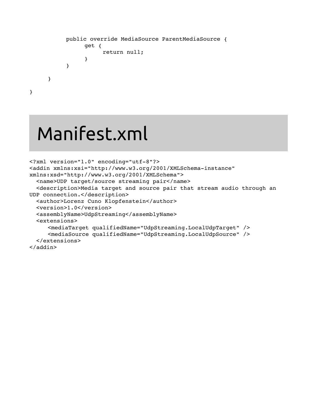```
public override MediaSource ParentMediaSource {
           get {
                return null;
           }
     }
}
```
### Manifest.xml

}

```
<?xml version="1.0" encoding="utf-8"?>
<addin xmlns:xsi="http://www.w3.org/2001/XMLSchema-instance"
xmlns:xsd="http://www.w3.org/2001/XMLSchema">
    <name>UDP target/source streaming pair</name>
    <description>Media target and source pair that stream audio through an
UDP connection.</description>
    <author>Lorenz Cuno Klopfenstein</author>
    <version>1.0</version>
    <assemblyName>UdpStreaming</assemblyName>
    <extensions>
        <mediaTarget qualifiedName="UdpStreaming.LocalUdpTarget" />
        <mediaSource qualifiedName="UdpStreaming.LocalUdpSource" />
    </extensions>
</addin>
```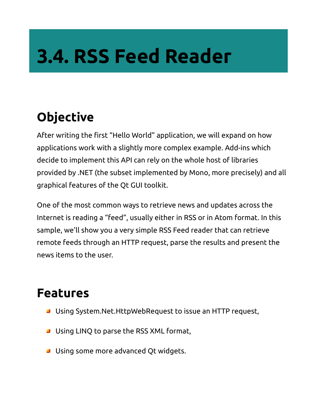## **3.4. RSS Feed Reader**

#### **Objective**

After writing the first "Hello World" application, we will expand on how applications work with a slightly more complex example. Add-ins which decide to implement this API can rely on the whole host of libraries provided by .NET (the subset implemented by Mono, more precisely) and all graphical features of the Qt GUI toolkit.

One of the most common ways to retrieve news and updates across the Internet is reading a "feed", usually either in RSS or in Atom format. In this sample, we'll show you a very simple RSS Feed reader that can retrieve remote feeds through an HTTP request, parse the results and present the news items to the user.

- **J** Using System.Net.HttpWebRequest to issue an HTTP request,
- **Using LINQ to parse the RSS XML format,**
- **J** Using some more advanced Qt widgets.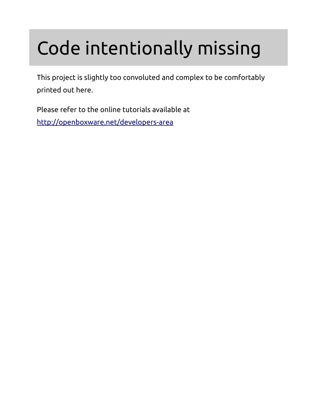## Code intentionally missing

This project is slightly too convoluted and complex to be comfortably printed out here.

Please refer to the online tutorials available at <http://openboxware.net/developers-area>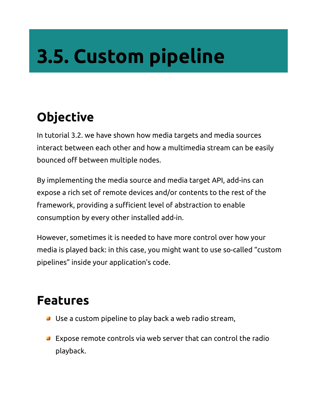# **3.5. Custom pipeline**

#### **Objective**

In tutorial 3.2. we have shown how media targets and media sources interact between each other and how a multimedia stream can be easily bounced off between multiple nodes.

By implementing the media source and media target API, add-ins can expose a rich set of remote devices and/or contents to the rest of the framework, providing a sufficient level of abstraction to enable consumption by every other installed add-in.

However, sometimes it is needed to have more control over how your media is played back: in this case, you might want to use so-called "custom pipelines" inside your application's code.

- **Use a custom pipeline to play back a web radio stream,**
- **Expose remote controls via web server that can control the radio** playback.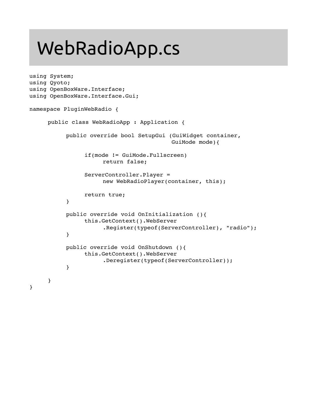### WebRadioApp.cs

```
using System;
using Qyoto;
using OpenBoxWare.Interface;
using OpenBoxWare.Interface.Gui;
namespace PluginWebRadio {
     public class WebRadioApp : Application {
          public override bool SetupGui (GuiWidget container,
                                              GuiMode mode){
                if(mode != GuiMode.Fullscreen)
                      return false;
                ServerController.Player =
                      new WebRadioPlayer(container, this);
                return true;
           }
          public override void OnInitialization (){
                this.GetContext().WebServer
                      .Register(typeof(ServerController), "radio");
           }
          public override void OnShutdown (){
                this.GetContext().WebServer
                      .Deregister(typeof(ServerController));
           }
     }
}
```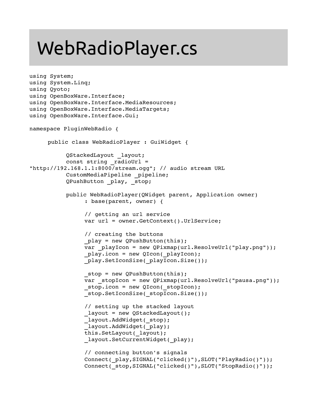### WebRadioPlayer.cs

```
using System;
using System.Linq;
using Qyoto;
using OpenBoxWare.Interface;
using OpenBoxWare.Interface.MediaResources;
using OpenBoxWare.Interface.MediaTargets;
using OpenBoxWare.Interface.Gui;
namespace PluginWebRadio {
     public class WebRadioPlayer : GuiWidget {
          QStackedLayout _layout;
          const string radioUrl =
"http://192.168.1.1:8000/stream.ogg"; // audio stream URL
          CustomMediaPipeline pipeline;
          QPushButton _play, _stop;
          public WebRadioPlayer(QWidget parent, Application owner) 
                : base(parent, owner) {
                // getting an url service
                var url = owner.GetContext().UrlService;
                // creating the buttons
                play = new QPushButton(this);
                var playIcon = new QPixmap(url.ResolveUrl("play.png"));
                play.icon = new QIcon( playIcon);
                play.SetIconSize( playIcon.Size());
                stop = new QPushButton(this);
                var stopIcon = new QPixmap(url.ResolveUrl("pausa.png"));
                stop.icon = new QIcon( stopIcon);
                stop.SetIconSize( stopIcon.Size());
                // setting up the stacked layout
                _layout = new QStackedLayout();
                layout.AddWidget( stop);
                layout.AddWidget( play);
                this.SetLayout(_layout);
                layout.SetCurrentWidget( play);
                // connecting button's signals
                Connect( play, SIGNAL("clicked()"), SLOT("PlayRadio()"));
                Connect( stop, SIGNAL("clicked()"), SLOT("StopRadio()"));
```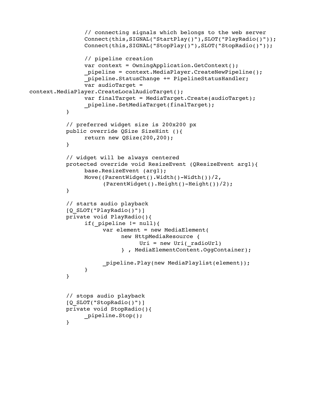```
// connecting signals which belongs to the web server
                Connect(this,SIGNAL("StartPlay()"),SLOT("PlayRadio()"));
                Connect(this,SIGNAL("StopPlay()"),SLOT("StopRadio()"));
                // pipeline creation
                var context = OwningApplication.GetContext();
                _pipeline = context.MediaPlayer.CreateNewPipeline();
                _pipeline.StatusChange += PipelineStatusHandler;
                var audioTarget =
context.MediaPlayer.CreateLocalAudioTarget();
                var finalTarget = MediaTarget.Create(audioTarget);
                _pipeline.SetMediaTarget(finalTarget);
           }
          // preferred widget size is 200x200 px
          public override QSize SizeHint (){
                return new QSize(200,200);
           }
           // widget will be always centered
          protected override void ResizeEvent (QResizeEvent arg1){
                base.ResizeEvent (arg1);
                Move((ParentWidget().Width()-Width())/2,
                      (ParentWidget().Height()-Height())/2);
           }
          // starts audio playback
           [Q_SLOT("PlayRadio()")]
          private void PlayRadio(){
                if( pipeline != null ){
                     var element = new MediaElement(
                           new HttpMediaResource { 
                                Uri = new Uri(radioUr1)
                           } , MediaElementContent.OggContainer);
                     _pipeline.Play(new MediaPlaylist(element));
                }
           }
           // stops audio playback
           [Q_SLOT("StopRadio()")]
          private void StopRadio(){
                _pipeline.Stop();
           }
```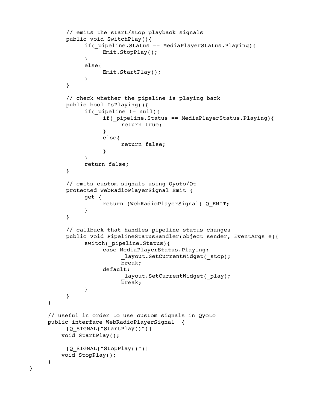```
// emits the start/stop playback signals
     public void SwitchPlay(){
           if(_pipeline.Status == MediaPlayerStatus.Playing){
                Emit.StopPlay();
           }
           else{
                Emit.StartPlay();
           }
     }
     // check whether the pipeline is playing back
     public bool IsPlaying(){
           if( pipeline != null){
                if(_pipeline.Status == MediaPlayerStatus.Playing){
                      return true;
                }
                else{
                      return false;
                }
           }
           return false;
     }
     // emits custom signals using Qyoto/Qt
     protected WebRadioPlayerSignal Emit { 
           get { 
                return (WebRadioPlayerSignal) Q_EMIT; 
           }  
     }
     // callback that handles pipeline status changes
     public void PipelineStatusHandler(object sender, EventArgs e){
           switch(_pipeline.Status){
                case MediaPlayerStatus.Playing:
                       layout.SetCurrentWidget( stop);
                      break;
                default:
                       layout.SetCurrentWidget( play);
                      break;
           }
     }
// useful in order to use custom signals in Qyoto
public interface WebRadioPlayerSignal  {
     [Q SIGNAL("StartPlay()")]
        void StartPlay();
     [Q SIGNAL("StopPlay()")]
        void StopPlay();
```
}

}

}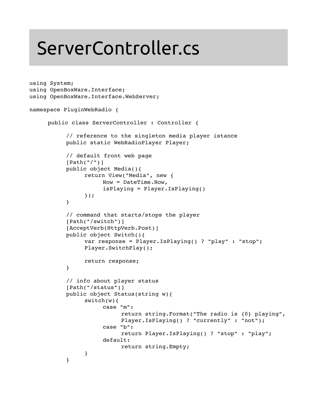### ServerController.cs

```
using System;
using OpenBoxWare.Interface;
using OpenBoxWare.Interface.WebServer;
namespace PluginWebRadio {
     public class ServerController : Controller {
           // reference to the singleton media player istance
          public static WebRadioPlayer Player; 
           // default front web page
           [Path("/")]
           public object Media(){
                return View("Media", new {
                      Now = DateTime.Now,
                      isPlaying = Player.IsPlaying()
                });
           }
           // command that starts/stops the player
           [Path("/switch")]
           [AcceptVerb(HttpVerb.Post)]
           public object Switch(){
                var response = Player.IsPlaying() ? "play" : "stop";
                Player.SwitchPlay();
                return response;
           }
           // info about player status
           [Path("/status")]
          public object Status(string w){
                switch(w){
                      case "m":
                           return string.Format("The radio is {0} playing",
                                Player.IsPlaying() ? "currently" : "not");
                      case "b":
                           return Player.IsPlaying() ? "stop" : "play";
                      default:
                           return string.Empty;
                }
           }
```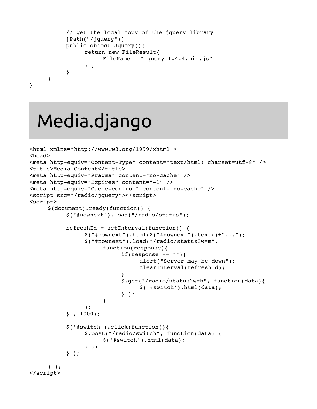```
// get the local copy of the jquery library
           [Path("/jquery")]
          public object Jquery(){
                return new FileResult{
                      FileName = "jquery-1.4.4.min.js"} ;
           }
     }
}
```
### Media.django

```
<html xmlns="http://www.w3.org/1999/xhtml">
<head>
<meta http-equiv="Content-Type" content="text/html; charset=utf-8" />
<title>Media Content</title>
<meta http-equiv="Pragma" content="no-cache" />
<meta http-equiv="Expires" content="-1" />
<meta http-equiv="Cache-control" content="no-cache" />
<script src="/radio/jquery"></script>
<script>
     $(document).ready(function() {
           $("#nownext").load("/radio/status");
           refreshId = setInterval(function() {
                 $("#nownext").html($("#nownext").text()+"...");
                 $("#nownext").load("/radio/status?w=m",
                      function(response){
                            if(response == "){
                                  alert("Server may be down");
                                  clearInterval(refreshId);
                            }
                            $.get("/radio/status?w=b", function(data){
                                  $('#switch').html(data);
                            } );
                      }
                 );
           } , 1000);
                   $('#switch').click(function(){
                         $.post("/radio/switch", function(data) {
                         $('#switch').html(data);
                 } );
                   } );
     } );
</script>
```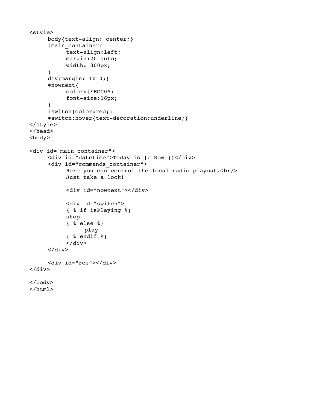```
<style>
     body{text-align: center;}
     #main_container{
           text-align:left;
           margin:20 auto;
           width: 300px;
     }
     div{margin: 10 0;}
     #nownext{
           color:#FECC0A;
           font-size:16px;}
     #switch{color:red;}
     #switch:hover{text-decoration:underline;}
</style>
</head>
<body>
<div id="main_container">
     <div id="datetime">Today is {{ Now }}</div>
     <div id="commands_container">
           Here you can control the local radio playout. \text{Br}/\text{>}Just take a look!
           <div id="nownext"></div>
           <div id="switch">
           { % if isPlaying %}
                stop
           { % else %}
                 play
            {8} endif {8}}
           \langlediv>\langlediv\rangle<div id="res"></div>
\langlediv></body>
</html>
```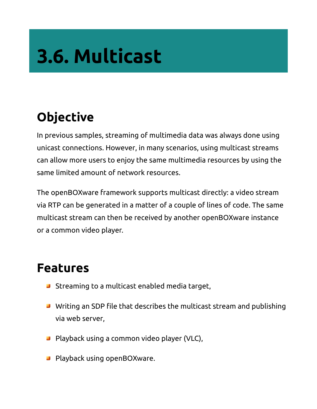# **3.6. Multicast**

#### **Objective**

In previous samples, streaming of multimedia data was always done using unicast connections. However, in many scenarios, using multicast streams can allow more users to enjoy the same multimedia resources by using the same limited amount of network resources.

The openBOXware framework supports multicast directly: a video stream via RTP can be generated in a matter of a couple of lines of code. The same multicast stream can then be received by another openBOXware instance or a common video player.

- **Streaming to a multicast enabled media target,**
- Writing an SDP file that describes the multicast stream and publishing via web server,
- **Playback using a common video player (VLC),**
- **Playback using openBOXware.**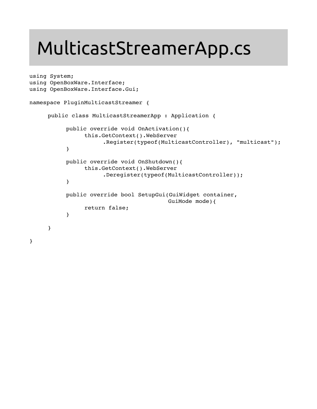### MulticastStreamerApp.cs

```
using System;
using OpenBoxWare.Interface;
using OpenBoxWare.Interface.Gui;
namespace PluginMulticastStreamer {
     public class MulticastStreamerApp : Application {
          public override void OnActivation(){
                this.GetContext().WebServer
                      .Register(typeof(MulticastController), "multicast");
           }
          public override void OnShutdown(){
                this.GetContext().WebServer
                      .Deregister(typeof(MulticastController));
          }
          public override bool SetupGui(GuiWidget container,
                                            GuiMode mode){
                return false;
           }
     }
}
```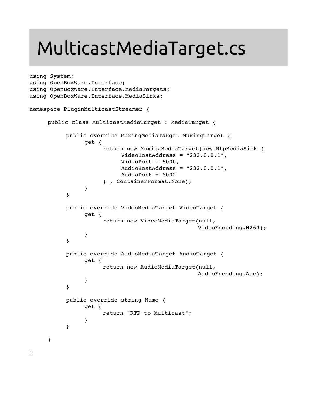### MulticastMediaTarget.cs

```
using System;
using OpenBoxWare.Interface;
using OpenBoxWare.Interface.MediaTargets;
using OpenBoxWare.Interface.MediaSinks;
namespace PluginMulticastStreamer {
     public class MulticastMediaTarget : MediaTarget {
          public override MuxingMediaTarget MuxingTarget {
                get {
                      return new MuxingMediaTarget(new RtpMediaSink {
                           VideoHostAddress = "232.0.0.1",
                           VideoPort = 6000,AudioHostAddress = "232.0.0.1",
                           AudioPort = 6002} , ContainerFormat.None);
                }
           }
          public override VideoMediaTarget VideoTarget {
                get {
                      return new VideoMediaTarget(null,
                                                   VideoEncoding.H264);
                }
           }
           public override AudioMediaTarget AudioTarget {
                get {
                      return new AudioMediaTarget(null,
                                                   AudioEncoding.Aac);
                }
           }
          public override string Name {
                get {
                      return "RTP to Multicast";
                }
           }
     }
```
}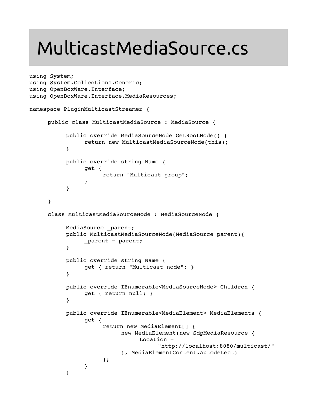### MulticastMediaSource.cs

```
using System;
using System.Collections.Generic;
using OpenBoxWare.Interface;
using OpenBoxWare.Interface.MediaResources;
namespace PluginMulticastStreamer {
     public class MulticastMediaSource : MediaSource {
          public override MediaSourceNode GetRootNode() {
                return new MulticastMediaSourceNode(this);
           }
          public override string Name {
                get {
                     return "Multicast group";
                }
           }
     }
     class MulticastMediaSourceNode : MediaSourceNode {
          MediaSource _parent;
          public MulticastMediaSourceNode(MediaSource parent){
                parent = parent;
           }
          public override string Name {
                get { return "Multicast node"; }
           }
          public override IEnumerable<MediaSourceNode> Children {
                get { return null; }
           }
          public override IEnumerable<MediaElement> MediaElements {
                get {
                      return new MediaElement[] {
                           new MediaElement(new SdpMediaResource {
                                Location = 
                                      "http://localhost:8080/multicast/"
                           }, MediaElementContent.Autodetect)
                      };
                }
           }
```